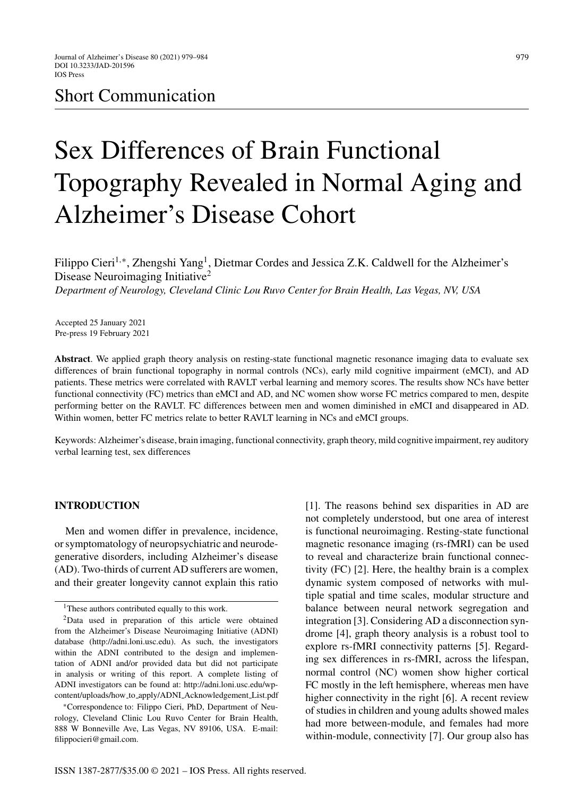# Short Communication

# Sex Differences of Brain Functional Topography Revealed in Normal Aging and Alzheimer's Disease Cohort

Filippo Cieri<sup>1,∗</sup>, Zhengshi Yang<sup>1</sup>, Dietmar Cordes and Jessica Z.K. Caldwell for the Alzheimer's Disease Neuroimaging Initiative<sup>2</sup> *Department of Neurology, Cleveland Clinic Lou Ruvo Center for Brain Health, Las Vegas, NV, USA*

Accepted 25 January 2021 Pre-press 19 February 2021

**Abstract**. We applied graph theory analysis on resting-state functional magnetic resonance imaging data to evaluate sex differences of brain functional topography in normal controls (NCs), early mild cognitive impairment (eMCI), and AD patients. These metrics were correlated with RAVLT verbal learning and memory scores. The results show NCs have better functional connectivity (FC) metrics than eMCI and AD, and NC women show worse FC metrics compared to men, despite performing better on the RAVLT. FC differences between men and women diminished in eMCI and disappeared in AD. Within women, better FC metrics relate to better RAVLT learning in NCs and eMCI groups.

Keywords: Alzheimer's disease, brain imaging, functional connectivity, graph theory, mild cognitive impairment, rey auditory verbal learning test, sex differences

#### **INTRODUCTION**

Men and women differ in prevalence, incidence, or symptomatology of neuropsychiatric and neurodegenerative disorders, including Alzheimer's disease (AD). Two-thirds of current AD sufferers are women, and their greater longevity cannot explain this ratio

[1]. The reasons behind sex disparities in AD are not completely understood, but one area of interest is functional neuroimaging. Resting-state functional magnetic resonance imaging (rs-fMRI) can be used to reveal and characterize brain functional connectivity (FC) [2]. Here, the healthy brain is a complex dynamic system composed of networks with multiple spatial and time scales, modular structure and balance between neural network segregation and integration [3]. Considering AD a disconnection syndrome [4], graph theory analysis is a robust tool to explore rs-fMRI connectivity patterns [5]. Regarding sex differences in rs-fMRI, across the lifespan, normal control (NC) women show higher cortical [FC mostly in the left hemisphere, whereas m](http://adni.loni.usc.edu/wp-content/uploads/how_to_apply/ADNI_Acknowledgement_List.pdf)en have higher connectivity in the right [6]. A recent review of studies in children and young adults showed males had more between-module, and females had more within-module, connectivity [7]. Our group also has

<sup>&</sup>lt;sup>1</sup>These authors contributed equally to this work.

<sup>2</sup>Data used in preparation of this article were obtained from the Alzheimer's Disease Neuroimaging Initiative (ADNI) database [\(http://adni.loni.usc.edu](http://adni.loni.usc.edu)). As such, the investigators within the ADNI contributed to the design and implementation of ADNI and/or provided data but did not participate in analysis or writing of this report. A complete listing of ADNI investigators can be found at: http://adni.loni.usc.edu/wpcontent/uploads/how to apply/ADNI Acknowledgement List.pdf

<sup>∗</sup>Correspondence to: Filippo Cieri, PhD, Department of Neurology, Cleveland Clinic Lou Ruvo Center for Brain Health, 888 W Bonneville Ave, Las Vegas, NV 89106, USA. E-mail: [filippocieri@gmail.com](mailto:filippocieri@gmail.com).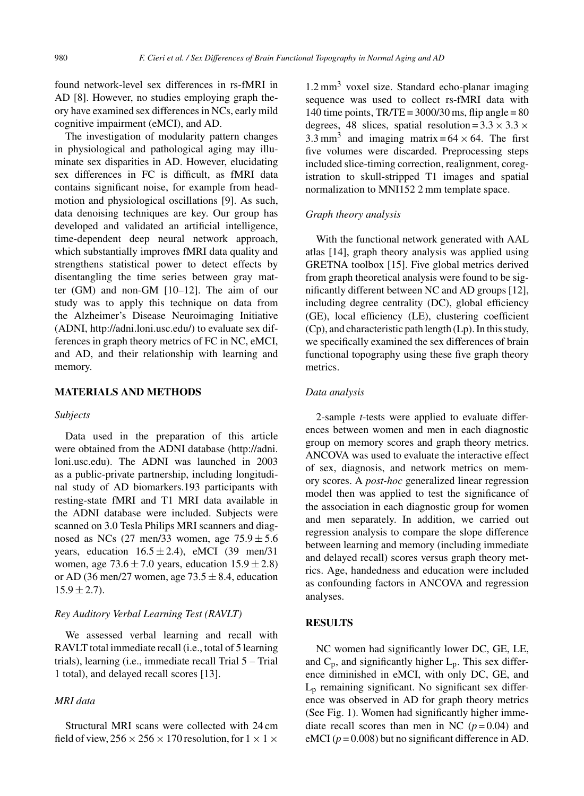found network-level sex differences in rs-fMRI in AD [8]. However, no studies employing graph theory have examined sex differences in NCs, early mild cognitive impairment (eMCI), and AD.

The investigation of modularity pattern changes in physiological and pathological aging may illuminate sex disparities in AD. However, elucidating sex differences in FC is difficult, as fMRI data contains significant noise, for example from headmotion and physiological oscillations [9]. As such, data denoising techniques are key. Our group has developed and validated an artificial intelligence, time-dependent deep neural network approach, which substantially improves fMRI data quality and strengthens statistical power to detect effects by disentangling the time series between gray matter (GM) and non-GM [10–12]. The aim of our study was to apply this technique on data from the Alzheimer's Disease Neuroimaging Initiative (ADNI,<http://adni.loni.usc.edu/>) to evaluate sex differences in graph theory metrics of FC in NC, eMCI, and AD, and their relationship with learning and memory.

## **MATERIALS AND METHODS**

#### *Subjects*

Data used in the preparation of this article were obtained from the ADNI database ([http://adni.](http://adni.loni.usc.edu) loni.usc.edu). The ADNI was launched in 2003 as a public-private partnership, including longitudinal study of AD biomarkers.193 participants with resting-state fMRI and T1 MRI data available in the ADNI database were included. Subjects were scanned on 3.0 Tesla Philips MRI scanners and diagnosed as NCs (27 men/33 women, age  $75.9 \pm 5.6$ years, education  $16.5 \pm 2.4$ ), eMCI (39 men/31) women, age  $73.6 \pm 7.0$  years, education  $15.9 \pm 2.8$ ) or AD (36 men/27 women, age  $73.5 \pm 8.4$ , education  $15.9 \pm 2.7$ ).

#### *Rey Auditory Verbal Learning Test (RAVLT)*

We assessed verbal learning and recall with RAVLT total immediate recall (i.e., total of 5 learning trials), learning (i.e., immediate recall Trial 5 – Trial 1 total), and delayed recall scores [13].

# *MRI data*

Structural MRI scans were collected with 24 cm field of view,  $256 \times 256 \times 170$  resolution, for  $1 \times 1 \times$ 

 $1.2 \text{ mm}^3$  voxel size. Standard echo-planar imaging sequence was used to collect rs-fMRI data with 140 time points,  $TR/TE = 3000/30$  ms, flip angle = 80 degrees, 48 slices, spatial resolution =  $3.3 \times 3.3 \times$ 3.3 mm<sup>3</sup> and imaging matrix =  $64 \times 64$ . The first five volumes were discarded. Preprocessing steps included slice-timing correction, realignment, coregistration to skull-stripped T1 images and spatial normalization to MNI152 2 mm template space.

#### *Graph theory analysis*

With the functional network generated with AAL atlas [14], graph theory analysis was applied using GRETNA toolbox [15]. Five global metrics derived from graph theoretical analysis were found to be significantly different between NC and AD groups [12], including degree centrality (DC), global efficiency (GE), local efficiency (LE), clustering coefficient (Cp), and characteristic path length (Lp). In this study, we specifically examined the sex differences of brain functional topography using these five graph theory metrics.

## *Data analysis*

2-sample *t*-tests were applied to evaluate differences between women and men in each diagnostic group on memory scores and graph theory metrics. ANCOVA was used to evaluate the interactive effect of sex, diagnosis, and network metrics on memory scores. A *post-hoc* generalized linear regression model then was applied to test the significance of the association in each diagnostic group for women and men separately. In addition, we carried out regression analysis to compare the slope difference between learning and memory (including immediate and delayed recall) scores versus graph theory metrics. Age, handedness and education were included as confounding factors in ANCOVA and regression analyses.

#### **RESULTS**

NC women had significantly lower DC, GE, LE, and  $C_p$ , and significantly higher  $L_p$ . This sex difference diminished in eMCI, with only DC, GE, and  $L<sub>p</sub>$  remaining significant. No significant sex difference was observed in AD for graph theory metrics (See Fig. 1). Women had significantly higher immediate recall scores than men in NC  $(p=0.04)$  and eMCI  $(p = 0.008)$  but no significant difference in AD.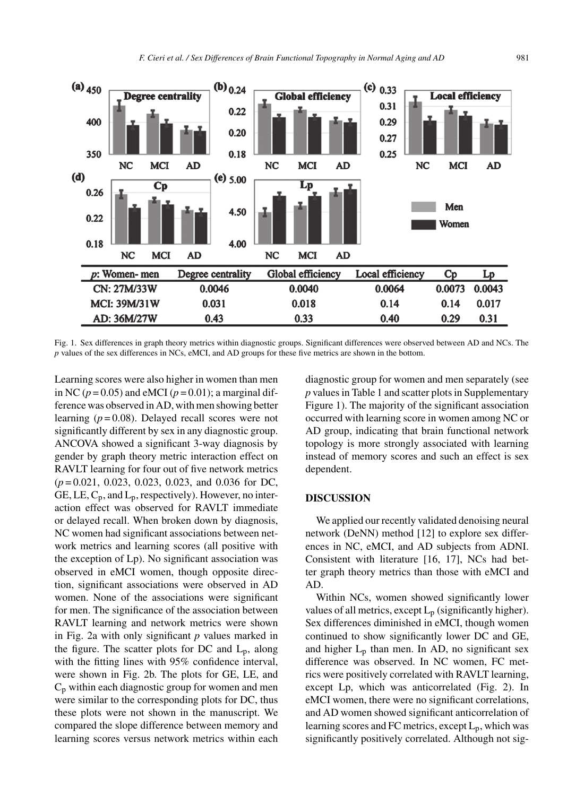

Fig. 1. Sex differences in graph theory metrics within diagnostic groups. Significant differences were observed between AD and NCs. The *p* values of the sex differences in NCs, eMCI, and AD groups for these five metrics are shown in the bottom.

Learning scores were also higher in women than men in NC ( $p = 0.05$ ) and eMCI ( $p = 0.01$ ); a marginal difference was observed in AD, with men showing better learning  $(p=0.08)$ . Delayed recall scores were not significantly different by sex in any diagnostic group. ANCOVA showed a significant 3-way diagnosis by gender by graph theory metric interaction effect on RAVLT learning for four out of five network metrics (*p* = 0.021, 0.023, 0.023, 0.023, and 0.036 for DC, GE, LE,  $C_p$ , and  $L_p$ , respectively). However, no interaction effect was observed for RAVLT immediate or delayed recall. When broken down by diagnosis, NC women had significant associations between network metrics and learning scores (all positive with the exception of Lp). No significant association was observed in eMCI women, though opposite direction, significant associations were observed in AD women. None of the associations were significant for men. The significance of the association between RAVLT learning and network metrics were shown in Fig. 2a with only significant *p* values marked in the figure. The scatter plots for DC and  $L_p$ , along with the fitting lines with 95% confidence interval, were shown in Fig. 2b. The plots for GE, LE, and  $C_p$  within each diagnostic group for women and men were similar to the corresponding plots for DC, thus these plots were not shown in the manuscript. We compared the slope difference between memory and learning scores versus network metrics within each diagnostic group for women and men separately (see *p* values in Table 1 and scatter plots in Supplementary Figure 1). The majority of the significant association occurred with learning score in women among NC or AD group, indicating that brain functional network topology is more strongly associated with learning instead of memory scores and such an effect is sex dependent.

#### **DISCUSSION**

We applied our recently validated denoising neural network (DeNN) method [12] to explore sex differences in NC, eMCI, and AD subjects from ADNI. Consistent with literature [16, 17], NCs had better graph theory metrics than those with eMCI and AD.

Within NCs, women showed significantly lower values of all metrics, except  $L_p$  (significantly higher). Sex differences diminished in eMCI, though women continued to show significantly lower DC and GE, and higher  $L_p$  than men. In AD, no significant sex difference was observed. In NC women, FC metrics were positively correlated with RAVLT learning, except Lp, which was anticorrelated (Fig. 2). In eMCI women, there were no significant correlations, and AD women showed significant anticorrelation of learning scores and FC metrics, except  $L_p$ , which was significantly positively correlated. Although not sig-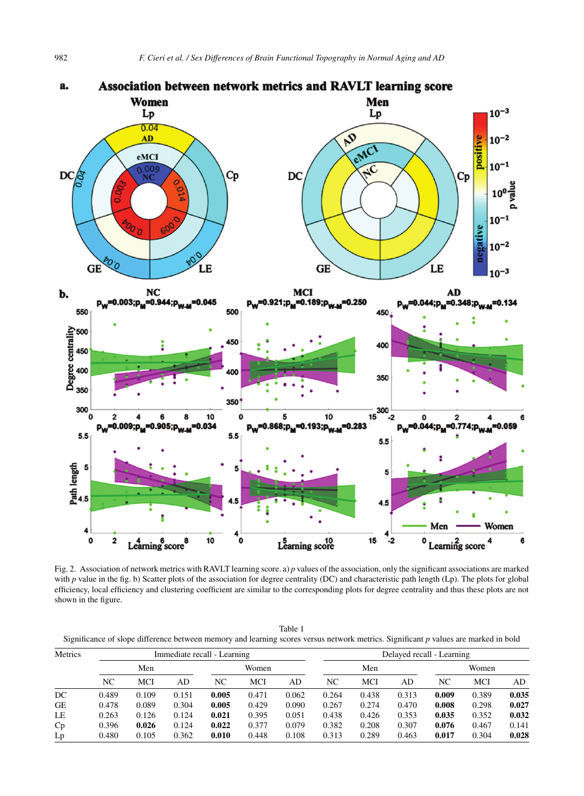

Fig. 2. Association of network metrics with RAVLT learning score. a) *p* values of the association, only the significant associations are marked with *p* value in the fig. b) Scatter plots of the association for degree centrality (DC) and characteristic path length (Lp). The plots for global efficiency, local efficiency and clustering coefficient are similar to the corresponding plots for degree centrality and thus these plots are not shown in the figure.

| Table                                                                                                                               |
|-------------------------------------------------------------------------------------------------------------------------------------|
| Significance of slope difference between memory and learning scores versus network metrics. Significant p values are marked in bold |

| Metrics   | Immediate recall - Learning |       |       |       |       |       | Delayed recall - Learning |       |       |       |       |       |
|-----------|-----------------------------|-------|-------|-------|-------|-------|---------------------------|-------|-------|-------|-------|-------|
|           | Men                         |       |       | Women |       |       | Men                       |       |       | Women |       |       |
|           | NC                          | MCI   | AD    | NC    | MCI   | AD    | NC                        | MCI   | AD    | NC    | MCI   | AD    |
| DC        | 0.489                       | 0.109 | 0.151 | 0.005 | 0.471 | 0.062 | 0.264                     | 0.438 | 0.313 | 0.009 | 0.389 | 0.035 |
| <b>GE</b> | 0.478                       | 0.089 | 0.304 | 0.005 | 0.429 | 0.090 | 0.267                     | 0.274 | 0.470 | 0.008 | 0.298 | 0.027 |
| LE        | 0.263                       | 0.126 | 0.124 | 0.021 | 0.395 | 0.051 | 0.438                     | 0.426 | 0.353 | 0.035 | 0.352 | 0.032 |
| Cp        | 0.396                       | 0.026 | 0.124 | 0.022 | 0.377 | 0.079 | 0.382                     | 0.208 | 0.307 | 0.076 | 0.467 | 0.141 |
| Lp        | 0.480                       | 0.105 | 0.362 | 0.010 | 0.448 | 0.108 | 0.313                     | 0.289 | 0.463 | 0.017 | 0.304 | 0.028 |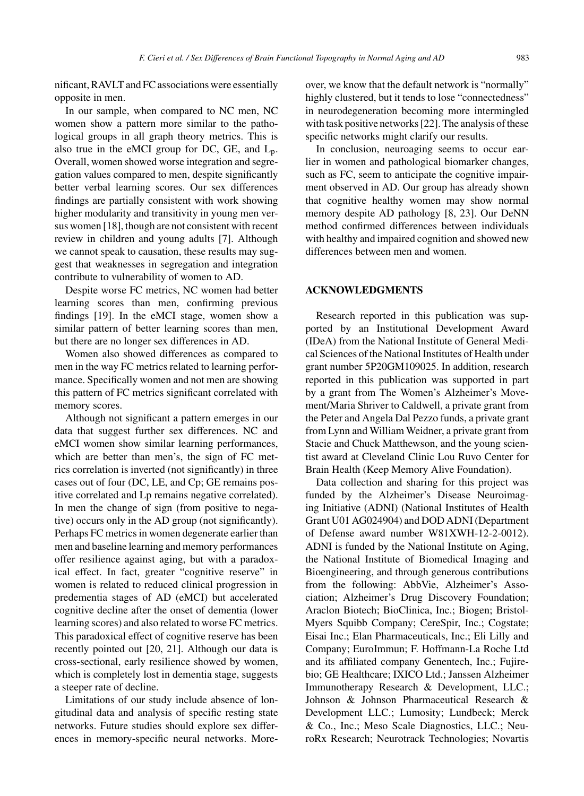nificant, RAVLT and FC associations were essentially opposite in men.

In our sample, when compared to NC men, NC women show a pattern more similar to the pathological groups in all graph theory metrics. This is also true in the eMCI group for DC, GE, and  $L_p$ . Overall, women showed worse integration and segregation values compared to men, despite significantly better verbal learning scores. Our sex differences findings are partially consistent with work showing higher modularity and transitivity in young men versus women [18], though are not consistent with recent review in children and young adults [7]. Although we cannot speak to causation, these results may suggest that weaknesses in segregation and integration contribute to vulnerability of women to AD.

Despite worse FC metrics, NC women had better learning scores than men, confirming previous findings [19]. In the eMCI stage, women show a similar pattern of better learning scores than men, but there are no longer sex differences in AD.

Women also showed differences as compared to men in the way FC metrics related to learning performance. Specifically women and not men are showing this pattern of FC metrics significant correlated with memory scores.

Although not significant a pattern emerges in our data that suggest further sex differences. NC and eMCI women show similar learning performances, which are better than men's, the sign of FC metrics correlation is inverted (not significantly) in three cases out of four (DC, LE, and Cp; GE remains positive correlated and Lp remains negative correlated). In men the change of sign (from positive to negative) occurs only in the AD group (not significantly). Perhaps FC metrics in women degenerate earlier than men and baseline learning and memory performances offer resilience against aging, but with a paradoxical effect. In fact, greater "cognitive reserve" in women is related to reduced clinical progression in predementia stages of AD (eMCI) but accelerated cognitive decline after the onset of dementia (lower learning scores) and also related to worse FC metrics. This paradoxical effect of cognitive reserve has been recently pointed out [20, 21]. Although our data is cross-sectional, early resilience showed by women, which is completely lost in dementia stage, suggests a steeper rate of decline.

Limitations of our study include absence of longitudinal data and analysis of specific resting state networks. Future studies should explore sex differences in memory-specific neural networks. Moreover, we know that the default network is "normally" highly clustered, but it tends to lose "connectedness" in neurodegeneration becoming more intermingled with task positive networks [22]. The analysis of these specific networks might clarify our results.

In conclusion, neuroaging seems to occur earlier in women and pathological biomarker changes, such as FC, seem to anticipate the cognitive impairment observed in AD. Our group has already shown that cognitive healthy women may show normal memory despite AD pathology [8, 23]. Our DeNN method confirmed differences between individuals with healthy and impaired cognition and showed new differences between men and women.

#### **ACKNOWLEDGMENTS**

Research reported in this publication was supported by an Institutional Development Award (IDeA) from the National Institute of General Medical Sciences of the National Institutes of Health under grant number 5P20GM109025. In addition, research reported in this publication was supported in part by a grant from The Women's Alzheimer's Movement/Maria Shriver to Caldwell, a private grant from the Peter and Angela Dal Pezzo funds, a private grant from Lynn and William Weidner, a private grant from Stacie and Chuck Matthewson, and the young scientist award at Cleveland Clinic Lou Ruvo Center for Brain Health (Keep Memory Alive Foundation).

Data collection and sharing for this project was funded by the Alzheimer's Disease Neuroimaging Initiative (ADNI) (National Institutes of Health Grant U01 AG024904) and DOD ADNI (Department of Defense award number W81XWH-12-2-0012). ADNI is funded by the National Institute on Aging, the National Institute of Biomedical Imaging and Bioengineering, and through generous contributions from the following: AbbVie, Alzheimer's Association; Alzheimer's Drug Discovery Foundation; Araclon Biotech; BioClinica, Inc.; Biogen; Bristol-Myers Squibb Company; CereSpir, Inc.; Cogstate; Eisai Inc.; Elan Pharmaceuticals, Inc.; Eli Lilly and Company; EuroImmun; F. Hoffmann-La Roche Ltd and its affiliated company Genentech, Inc.; Fujirebio; GE Healthcare; IXICO Ltd.; Janssen Alzheimer Immunotherapy Research & Development, LLC.; Johnson & Johnson Pharmaceutical Research & Development LLC.; Lumosity; Lundbeck; Merck & Co., Inc.; Meso Scale Diagnostics, LLC.; NeuroRx Research; Neurotrack Technologies; Novartis